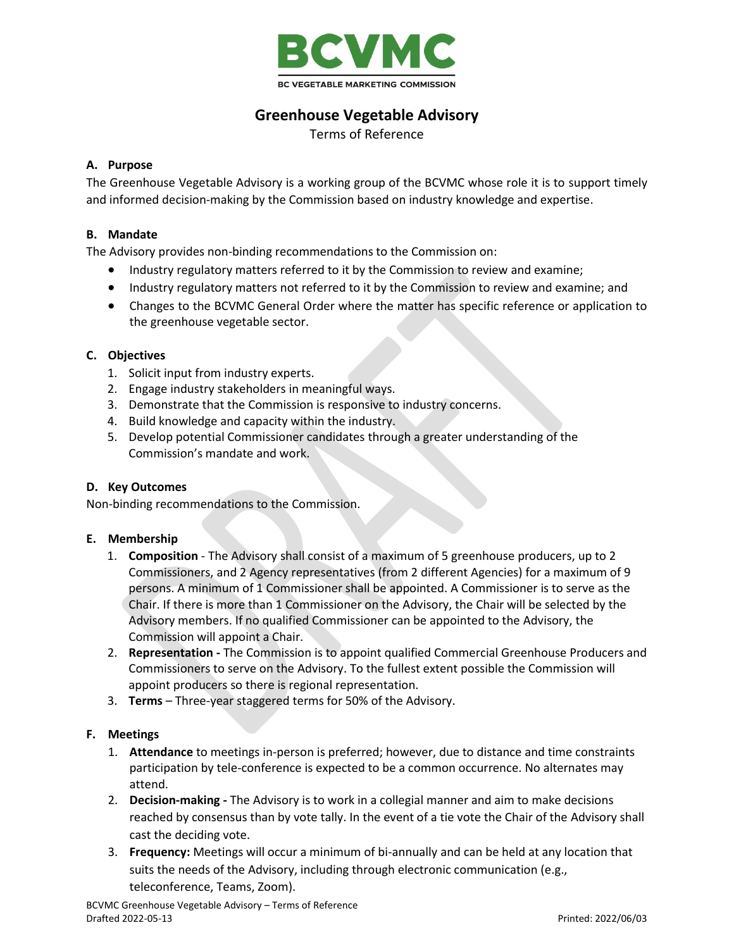

# **Greenhouse Vegetable Advisory**

Terms of Reference

# **A. Purpose**

The Greenhouse Vegetable Advisory is a working group of the BCVMC whose role it is to support timely and informed decision-making by the Commission based on industry knowledge and expertise.

# **B. Mandate**

The Advisory provides non-binding recommendations to the Commission on:

- Industry regulatory matters referred to it by the Commission to review and examine;
- Industry regulatory matters not referred to it by the Commission to review and examine; and
- Changes to the BCVMC General Order where the matter has specific reference or application to the greenhouse vegetable sector.

# **C. Objectives**

- 1. Solicit input from industry experts.
- 2. Engage industry stakeholders in meaningful ways.
- 3. Demonstrate that the Commission is responsive to industry concerns.
- 4. Build knowledge and capacity within the industry.
- 5. Develop potential Commissioner candidates through a greater understanding of the Commission's mandate and work.

#### **D. Key Outcomes**

Non-binding recommendations to the Commission.

#### **E. Membership**

- 1. **Composition** The Advisory shall consist of a maximum of 5 greenhouse producers, up to 2 Commissioners, and 2 Agency representatives (from 2 different Agencies) for a maximum of 9 persons. A minimum of 1 Commissioner shall be appointed. A Commissioner is to serve as the Chair. If there is more than 1 Commissioner on the Advisory, the Chair will be selected by the Advisory members. If no qualified Commissioner can be appointed to the Advisory, the Commission will appoint a Chair.
- 2. **Representation -** The Commission is to appoint qualified Commercial Greenhouse Producers and Commissioners to serve on the Advisory. To the fullest extent possible the Commission will appoint producers so there is regional representation.
- 3. **Terms** Three-year staggered terms for 50% of the Advisory.

#### **F. Meetings**

- 1. **Attendance** to meetings in-person is preferred; however, due to distance and time constraints participation by tele-conference is expected to be a common occurrence. No alternates may attend.
- 2. **Decision-making -** The Advisory is to work in a collegial manner and aim to make decisions reached by consensus than by vote tally. In the event of a tie vote the Chair of the Advisory shall cast the deciding vote.
- 3. **Frequency:** Meetings will occur a minimum of bi-annually and can be held at any location that suits the needs of the Advisory, including through electronic communication (e.g., teleconference, Teams, Zoom).